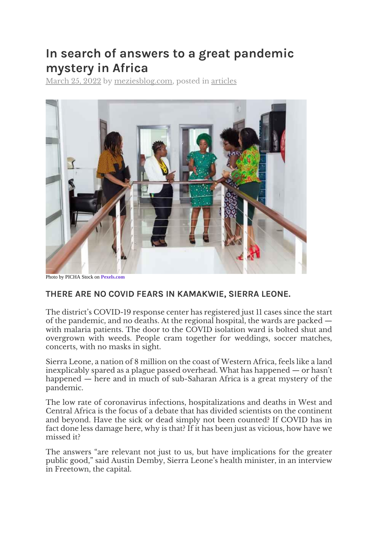# **In search of answers to a great pandemic mystery in Africa**

[March 25, 2022](https://meziesblog.com/in-search-of-answers-to-a-great-pandemic-mystery-in-africa/) by [meziesblog.com,](https://meziesblog.com/author/meziesblog/) posted in [articles](https://meziesblog.com/category/articles/)



## **THERE ARE NO COVID FEARS IN KAMAKWIE, SIERRA LEONE.**

The district's COVID-19 response center has registered just 11 cases since the start of the pandemic, and no deaths. At the regional hospital, the wards are packed with malaria patients. The door to the COVID isolation ward is bolted shut and overgrown with weeds. People cram together for weddings, soccer matches, concerts, with no masks in sight.

Sierra Leone, a nation of 8 million on the coast of Western Africa, feels like a land inexplicably spared as a plague passed overhead. What has happened — or hasn't happened — here and in much of sub-Saharan Africa is a great mystery of the pandemic.

The low rate of coronavirus infections, hospitalizations and deaths in West and Central Africa is the focus of a debate that has divided scientists on the continent and beyond. Have the sick or dead simply not been counted? If COVID has in fact done less damage here, why is that? If it has been just as vicious, how have we missed it?

The answers "are relevant not just to us, but have implications for the greater public good," said Austin Demby, Sierra Leone's health minister, in an interview in Freetown, the capital.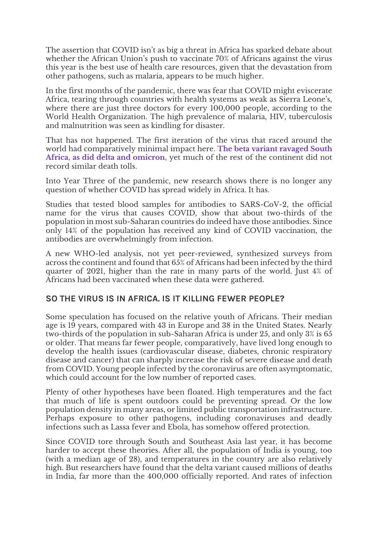The assertion that COVID isn't as big a threat in Africa has sparked debate about whether the African Union's push to vaccinate 70% of Africans against the virus this year is the best use of health care resources, given that the devastation from other pathogens, such as malaria, appears to be much higher.

In the first months of the pandemic, there was fear that COVID might eviscerate Africa, tearing through countries with health systems as weak as Sierra Leone's, where there are just three doctors for every 100,000 people, according to the World Health Organization. The high prevalence of malaria, HIV, tuberculosis and malnutrition was seen as kindling for disaster.

That has not happened. The first iteration of the virus that raced around the world had comparatively minimal impact here. **[The beta variant ravaged South](https://meziesblog.com/new-research-omicron-less-severe-than-delta-variant/)  [Africa, as did delta and omicron](https://meziesblog.com/new-research-omicron-less-severe-than-delta-variant/)**, yet much of the rest of the continent did not record similar death tolls.

Into Year Three of the pandemic, new research shows there is no longer any question of whether COVID has spread widely in Africa. It has.

Studies that tested blood samples for antibodies to SARS-CoV-2, the official name for the virus that causes COVID, show that about two-thirds of the population in most sub-Saharan countries do indeed have those antibodies. Since only 14% of the population has received any kind of COVID vaccination, the antibodies are overwhelmingly from infection.

A new WHO-led analysis, not yet peer-reviewed, synthesized surveys from across the continent and found that 65% of Africans had been infected by the third quarter of 2021, higher than the rate in many parts of the world. Just 4% of Africans had been vaccinated when these data were gathered.

### **SO THE VIRUS IS IN AFRICA. IS IT KILLING FEWER PEOPLE?**

Some speculation has focused on the relative youth of Africans. Their median age is 19 years, compared with 43 in Europe and 38 in the United States. Nearly two-thirds of the population in sub-Saharan Africa is under 25, and only 3% is 65 or older. That means far fewer people, comparatively, have lived long enough to develop the health issues (cardiovascular disease, diabetes, chronic respiratory disease and cancer) that can sharply increase the risk of severe disease and death from COVID. Young people infected by the coronavirus are often asymptomatic, which could account for the low number of reported cases.

Plenty of other hypotheses have been floated. High temperatures and the fact that much of life is spent outdoors could be preventing spread. Or the low population density in many areas, or limited public transportation infrastructure. Perhaps exposure to other pathogens, including coronaviruses and deadly infections such as Lassa fever and Ebola, has somehow offered protection.

Since COVID tore through South and Southeast Asia last year, it has become harder to accept these theories. After all, the population of India is young, too (with a median age of 28), and temperatures in the country are also relatively high. But researchers have found that the delta variant caused millions of deaths in India, far more than the 400,000 officially reported. And rates of infection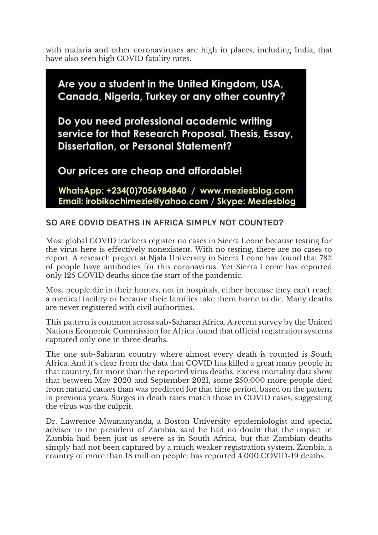with malaria and other coronaviruses are high in places, including India, that have also seen high COVID fatality rates.

Are you a student in the United Kingdom, USA, Canada, Nigeria, Turkey or any other country? Do you need professional academic writing service for that Research Proposal, Thesis, Essay, **Dissertation, or Personal Statement?** Our prices are cheap and affordable!

WhatsApp: +234(0)7056984840 / www.meziesblog.com Email: irobikochimezie@yahoo.com / Skype: Meziesblog

### **SO ARE COVID DEATHS IN AFRICA SIMPLY NOT COUNTED?**

Most global COVID trackers register no cases in Sierra Leone because testing for the virus here is effectively nonexistent. With no testing, there are no cases to report. A research project at Njala University in Sierra Leone has found that 78% of people have antibodies for this coronavirus. Yet Sierra Leone has reported only 125 COVID deaths since the start of the pandemic.

Most people die in their homes, not in hospitals, either because they can't reach a medical facility or because their families take them home to die. Many deaths are never registered with civil authorities.

This pattern is common across sub-Saharan Africa. A recent survey by the United Nations Economic Commission for Africa found that official registration systems captured only one in three deaths.

The one sub-Saharan country where almost every death is counted is South Africa. And it's clear from the data that COVID has killed a great many people in that country, far more than the reported virus deaths. Excess mortality data show that between May 2020 and September 2021, some 250,000 more people died from natural causes than was predicted for that time period, based on the pattern in previous years. Surges in death rates match those in COVID cases, suggesting the virus was the culprit.

Dr. Lawrence Mwananyanda, a Boston University epidemiologist and special adviser to the president of Zambia, said he had no doubt that the impact in Zambia had been just as severe as in South Africa, but that Zambian deaths simply had not been captured by a much weaker registration system. Zambia, a country of more than 18 million people, has reported 4,000 COVID-19 deaths.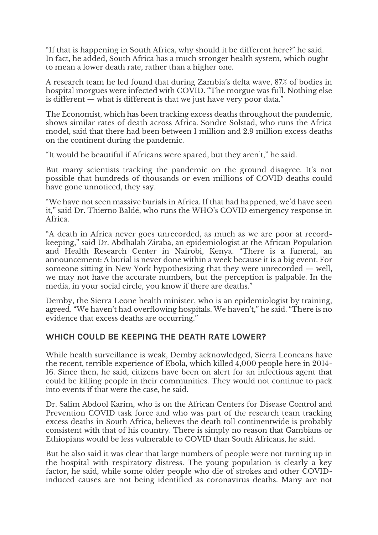"If that is happening in South Africa, why should it be different here?" he said. In fact, he added, South Africa has a much stronger health system, which ought to mean a lower death rate, rather than a higher one.

A research team he led found that during Zambia's delta wave, 87% of bodies in hospital morgues were infected with COVID. "The morgue was full. Nothing else is different — what is different is that we just have very poor data."

The Economist, which has been tracking excess deaths throughout the pandemic, shows similar rates of death across Africa. Sondre Solstad, who runs the Africa model, said that there had been between 1 million and 2.9 million excess deaths on the continent during the pandemic.

"It would be beautiful if Africans were spared, but they aren't," he said.

But many scientists tracking the pandemic on the ground disagree. It's not possible that hundreds of thousands or even millions of COVID deaths could have gone unnoticed, they say.

"We have not seen massive burials in Africa. If that had happened, we'd have seen it," said Dr. Thierno Baldé, who runs the WHO's COVID emergency response in Africa.

"A death in Africa never goes unrecorded, as much as we are poor at recordkeeping," said Dr. Abdhalah Ziraba, an epidemiologist at the African Population and Health Research Center in Nairobi, Kenya. "There is a funeral, an announcement: A burial is never done within a week because it is a big event. For someone sitting in New York hypothesizing that they were unrecorded — well, we may not have the accurate numbers, but the perception is palpable. In the media, in your social circle, you know if there are deaths."

Demby, the Sierra Leone health minister, who is an epidemiologist by training, agreed. "We haven't had overflowing hospitals. We haven't," he said. "There is no evidence that excess deaths are occurring."

### **WHICH COULD BE KEEPING THE DEATH RATE LOWER?**

While health surveillance is weak, Demby acknowledged, Sierra Leoneans have the recent, terrible experience of Ebola, which killed 4,000 people here in 2014- 16. Since then, he said, citizens have been on alert for an infectious agent that could be killing people in their communities. They would not continue to pack into events if that were the case, he said.

Dr. Salim Abdool Karim, who is on the African Centers for Disease Control and Prevention COVID task force and who was part of the research team tracking excess deaths in South Africa, believes the death toll continentwide is probably consistent with that of his country. There is simply no reason that Gambians or Ethiopians would be less vulnerable to COVID than South Africans, he said.

But he also said it was clear that large numbers of people were not turning up in the hospital with respiratory distress. The young population is clearly a key factor, he said, while some older people who die of strokes and other COVIDinduced causes are not being identified as coronavirus deaths. Many are not